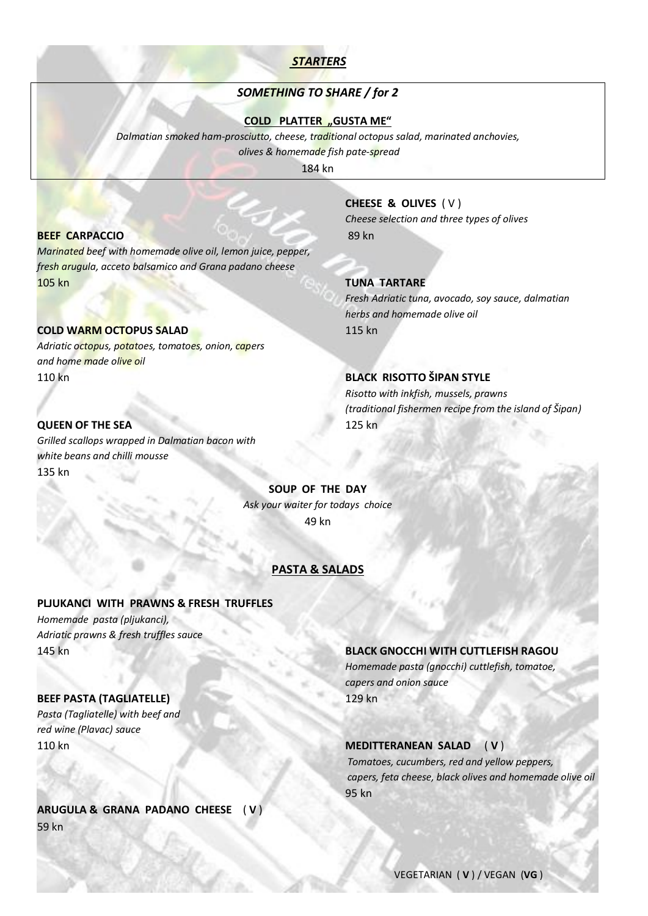# *STARTERS*

# *SOMETHING TO SHARE / for 2*

**COLD PLATTER "GUSTA ME"** 

*Dalmatian smoked ham-prosciutto, cheese, traditional octopus salad, marinated anchovies, olives & homemade fish pate-spread*

184 kn

# **BEEF CARPACCIO** 89 kn

*Marinated beef with homemade olive oil, lemon juice, pepper, fresh arugula, acceto balsamico and Grana padano cheese* 105 kn **TUNA TARTARE**

# **COLD WARM OCTOPUS SALAD 115 kn**

*Adriatic octopus, potatoes, tomatoes, onion, capers and home made olive oil* 110 kn **BLACK RISOTTO ŠIPAN STYLE**

## **QUEEN OF THE SEA** 125 kn

*Grilled scallops wrapped in Dalmatian bacon with white beans and chilli mousse* 135 kn

# **CHEESE & OLIVES** ( V )

*Cheese selection and three types of olives*

*Fresh Adriatic tuna, avocado, soy sauce, dalmatian herbs and homemade olive oil*

 *Risotto with inkfish, mussels, prawns (traditional fishermen recipe from the island of Šipan)*

**SOUP OF THE DAY** *Ask your waiter for todays choice* 49 kn

# **PASTA & SALADS**

### **PLJUKANCI WITH PRAWNS & FRESH TRUFFLES**

*Homemade pasta (pljukanci), Adriatic prawns & fresh truffles sauce*

# **BEEF PASTA (TAGLIATELLE)** 129 kn

*Pasta (Tagliatelle) with beef and red wine (Plavac) sauce* 

# **ARUGULA & GRANA PADANO CHEESE** ( **V** ) 59 kn

# 145 kn **BLACK GNOCCHI WITH CUTTLEFISH RAGOU**

*Homemade pasta (gnocchi) cuttlefish, tomatoe, capers and onion sauce*

### 110 kn **MEDITTERANEAN SALAD** ( **V** )

 *Tomatoes, cucumbers, red and yellow peppers, capers, feta cheese, black olives and homemade olive oil* en 195 kn i 195 kn i 195 kn i 195 kn i 195 kn i 195 kn i 195 kn i 195 kn i 196 kn i 196 kn i 196 kn i 197 kn i

VEGETARIAN ( **V** ) / VEGAN (**VG** )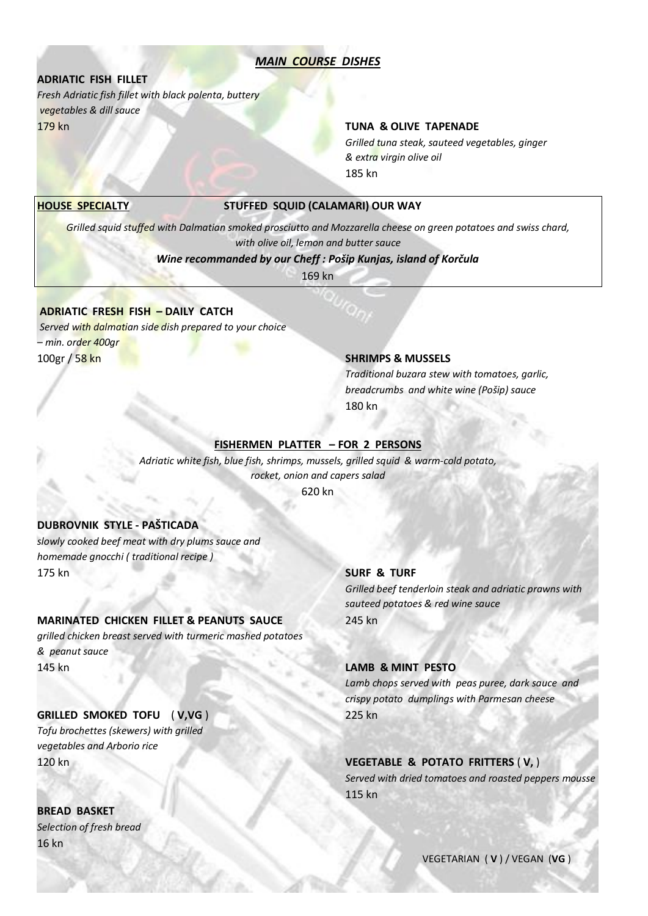# *MAIN COURSE DISHES*

# **ADRIATIC FISH FILLET**

*Fresh Adriatic fish fillet with black polenta, buttery vegetables & dill sauce* 179 kn **TUNA & OLIVE TAPENADE**

*Grilled tuna steak, sauteed vegetables, ginger & extra virgin olive oil* 185 kn

### **HOUSE SPECIALTY STUFFED SQUID (CALAMARI) OUR WAY**

*Grilled squid stuffed with Dalmatian smoked prosciutto and Mozzarella cheese on green potatoes and swiss chard, with olive oil, lemon and butter sauce*

*Wine recommanded by our Cheff : Pošip Kunjas, island of Korčula*

169 kn

# **ADRIATIC FRESH FISH – DAILY CATCH**

*Served with dalmatian side dish prepared to your choice – min. order 400gr* 100gr / 58 kn **SHRIMPS & MUSSELS**

*Traditional buzara stew with tomatoes, garlic, breadcrumbs and white wine (Pošip) sauce* 180 kn

### **FISHERMEN PLATTER – FOR 2 PERSONS**

*Adriatic white fish, blue fish, shrimps, mussels, grilled squid & warm-cold potato, rocket, onion and capers salad*

620 kn

# **DUBROVNIK STYLE - PAŠTICADA**

*slowly cooked beef meat with dry plums sauce and homemade gnocchi ( traditional recipe )* 175 kn **SURF & TURF**

## **MARINATED CHICKEN FILLET & PEANUTS SAUCE** 245 kn

*grilled chicken breast served with turmeric mashed potatoes & peanut sauce* 145 kn **LAMB & MINT PESTO**

### **GRILLED SMOKED TOFU** ( **V,VG** ) 225 kn

*Tofu brochettes (skewers) with grilled vegetables and Arborio rice*

**BREAD BASKET** *Selection of fresh bread*  16 kn

*Grilled beef tenderloin steak and adriatic prawns with sauteed potatoes & red wine sauce*

*Lamb chops served with peas puree, dark sauce and crispy potato dumplings with Parmesan cheese*

120 kn **VEGETABLE & POTATO FRITTERS** ( **V,** )  *Served with dried tomatoes and roasted peppers mousse* **115 kn** 

VEGETARIAN ( **V** ) / VEGAN (**VG** )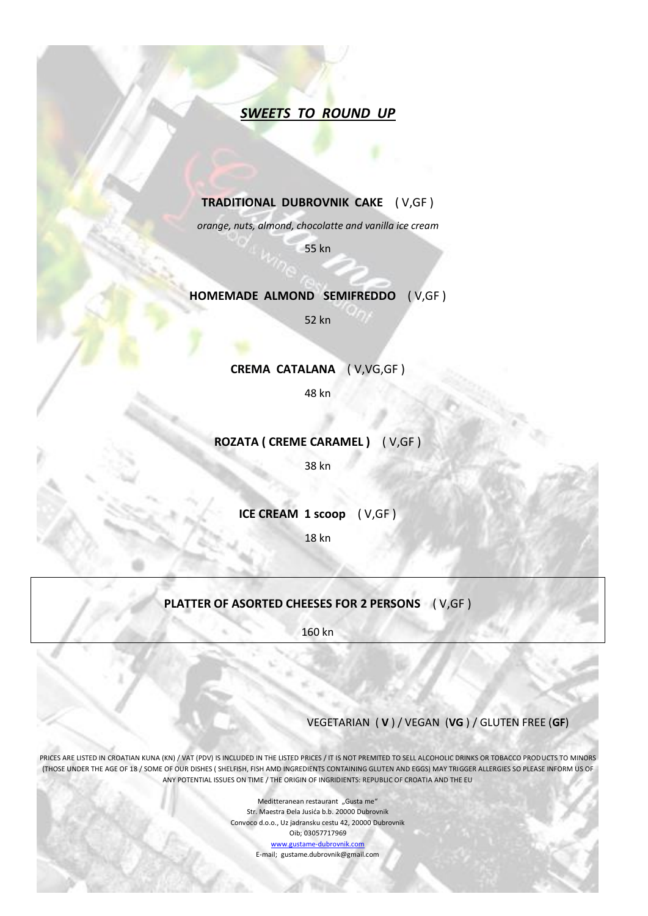# *SWEETS TO ROUND UP*

# **TRADITIONAL DUBROVNIK CAKE** ( V,GF )

*orange, nuts, almond, chocolatte and vanilla ice cream*

55 kn

# **HOMEMADE ALMOND SEMIFREDDO** ( V,GF )

52 kn

### **CREMA CATALANA** ( V,VG,GF )

48 kn

# **ROZATA ( CREME CARAMEL )** ( V,GF )

38 kn

**ICE CREAM 1 scoop** ( V,GF )

18 kn

# **PLATTER OF ASORTED CHEESES FOR 2 PERSONS** ( V,GF )

160 kn

# VEGETARIAN ( **V** ) / VEGAN (**VG** ) / GLUTEN FREE (**GF**)

PRICES ARE LISTED IN CROATIAN KUNA (KN) / VAT (PDV) IS INCLUDED IN THE LISTED PRICES / IT IS NOT PREMITED TO SELL ALCOHOLIC DRINKS OR TOBACCO PRODUCTS TO MINORS (THOSE UNDER THE AGE OF 18 / SOME OF OUR DISHES ( SHELFISH, FISH AMD INGREDIENTS CONTAINING GLUTEN AND EGGS) MAY TRIGGER ALLERGIES SO PLEASE INFORM US OF ANY POTENTIAL ISSUES ON TIME / THE ORIGIN OF INGRIDIENTS: REPUBLIC OF CROATIA AND THE EU

> Meditteranean restaurant "Gusta me" Str. Maestra Đela Jusića b.b. 20000 Dubrovnik Convoco d.o.o., Uz jadransku cestu 42, 20000 Dubrovnik Oib; 03057717969 [www.gustame-dubrovnik.com](http://www.gustame-dubrovnik.com/) E-mail; gustame.dubrovnik@gmail.com